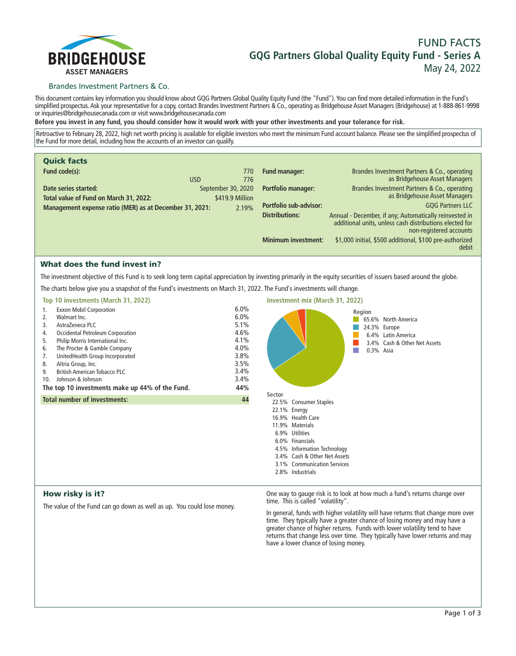

# **FUND FACTS GQG Partners Global Quality Equity Fund - Series A May 24, 2022**

# Brandes Investment Partners & Co.

**This document contains key information you should know about GQG Partners Global Quality Equity Fund (the "Fund"). You can find more detailed information in the Fund's simplified prospectus. Ask your representative for a copy, contact Brandes Investment Partners & Co., operating as Bridgehouse Asset Managers (Bridgehouse) at 1-888-861-9998 or inquiries@bridgehousecanada.com or visit www.bridgehousecanada.com**

**Before you invest in any fund, you should consider how it would work with your other investments and your tolerance for risk.**

**Retroactive to February 28, 2022, high net worth pricing is available for eligible investors who meet the minimum Fund account balance. Please see the simplified prospectus of the Fund for more detail, including how the accounts of an investor can qualify.**

| <b>Quick facts</b>                                             |            |                                       |                               |                                                                                                                                              |
|----------------------------------------------------------------|------------|---------------------------------------|-------------------------------|----------------------------------------------------------------------------------------------------------------------------------------------|
| Fund code(s):                                                  | <b>USD</b> | 770<br>776                            | Fund manager:                 | Brandes Investment Partners & Co., operating<br>as Bridgehouse Asset Managers                                                                |
| Date series started:<br>Total value of Fund on March 31, 2022: |            | September 30, 2020<br>\$419.9 Million | Portfolio manager:            | Brandes Investment Partners & Co., operating<br>as Bridgehouse Asset Managers                                                                |
| Management expense ratio (MER) as at December 31, 2021:        |            | 2.19%                                 | <b>Portfolio sub-advisor:</b> | <b>GQG Partners LLC</b>                                                                                                                      |
|                                                                |            |                                       | <b>Distributions:</b>         | Annual - December, if any; Automatically reinvested in<br>additional units, unless cash distributions elected for<br>non-registered accounts |
|                                                                |            |                                       | <b>Minimum investment:</b>    | \$1,000 initial, \$500 additional, \$100 pre-authorized<br>debit                                                                             |

# What does the fund invest in?

**The investment objective of this Fund is to seek long term capital appreciation by investing primarily in the equity securities of issuers based around the globe.**

**The charts below give you a snapshot of the Fund's investments on March 31, 2022. The Fund's investments will change.**

| Top 10 investments (March 31, 2022)                                                                                                                                                                                                                                                                                                                                                                            |                                                                                     | Investment mix (March 31, 2022)                                                                                                                                                                             |
|----------------------------------------------------------------------------------------------------------------------------------------------------------------------------------------------------------------------------------------------------------------------------------------------------------------------------------------------------------------------------------------------------------------|-------------------------------------------------------------------------------------|-------------------------------------------------------------------------------------------------------------------------------------------------------------------------------------------------------------|
| <b>Exxon Mobil Corporation</b><br>1.<br>2.<br>Walmart Inc.<br>AstraZeneca PLC<br>3.<br>Occidental Petroleum Corporation<br>4.<br>Philip Morris International Inc.<br>5.<br>The Procter & Gamble Company<br>6.<br>UnitedHealth Group Incorporated<br>7.<br>Altria Group, Inc.<br>8.<br><b>British American Tobacco PLC</b><br>9.<br>Johnson & Johnson<br>10.<br>The top 10 investments make up 44% of the Fund. | 6.0%<br>6.0%<br>5.1%<br>4.6%<br>4.1%<br>4.0%<br>3.8%<br>3.5%<br>3.4%<br>3.4%<br>44% | Region<br>65.6% North America<br>24.3% Europe<br>6.4% Latin America<br>3.4% Cash & Other Net Assets<br>0.3% Asia                                                                                            |
| <b>Total number of investments:</b>                                                                                                                                                                                                                                                                                                                                                                            | 44                                                                                  | Sector<br>22.5% Consumer Staples                                                                                                                                                                            |
|                                                                                                                                                                                                                                                                                                                                                                                                                |                                                                                     | 22.1% Energy<br>16.9% Health Care<br>11.9% Materials<br>6.9% Utilities<br>6.0% Financials<br>4.5% Information Technology<br>3.4% Cash & Other Net Assets<br>3.1% Communication Services<br>2.8% Industrials |

# How risky is it?

**The value of the Fund can go down as well as up. You could lose money.**

**One way to gauge risk is to look at how much a fund's returns change over time. This is called "volatility".**

**In general, funds with higher volatility will have returns that change more over time. They typically have a greater chance of losing money and may have a greater chance of higher returns. Funds with lower volatility tend to have returns that change less over time. They typically have lower returns and may have a lower chance of losing money.**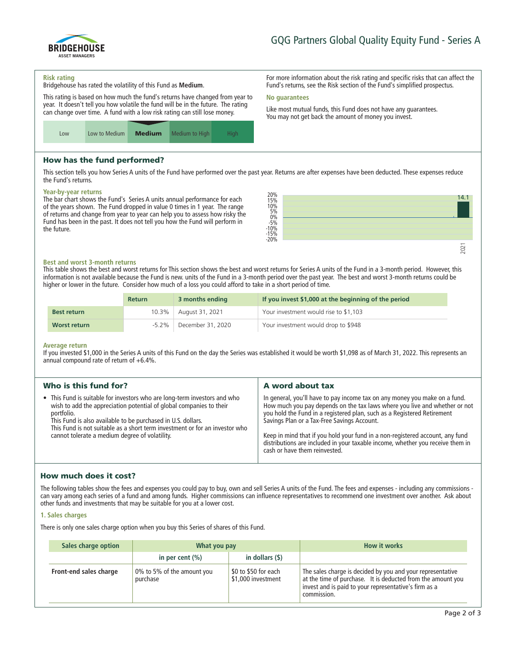

**For more information about the risk rating and specific risks that can affect the Fund's returns, see the Risk section of the Fund's simplified prospectus.**

**Like most mutual funds, this Fund does not have any guarantees. You may not get back the amount of money you invest.**

#### **Risk rating**

**Bridgehouse has rated the volatility of this Fund as Medium.**

**This rating is based on how much the fund's returns have changed from year to year. It doesn't tell you how volatile the fund will be in the future. The rating can change over time. A fund with a low risk rating can still lose money.**



# How has the fund performed?

**This section tells you how Series A units of the Fund have performed over the past year. Returns are after expenses have been deducted. These expenses reduce the Fund's returns.**

**No guarantees**

### **Year-by-year returns**

**The bar chart shows the Fund's Series A units annual performance for each of the years shown. The Fund dropped in value 0 times in 1 year. The range of returns and change from year to year can help you to assess how risky the Fund has been in the past. It does not tell you how the Fund will perform in the future.**



### **Best and worst 3-month returns**

**This table shows the best and worst returns for This section shows the best and worst returns for Series A units of the Fund in a 3-month period. However, this information is not available because the Fund is new. units of the Fund in a 3-month period over the past year. The best and worst 3-month returns could be higher or lower in the future. Consider how much of a loss you could afford to take in a short period of time.**

|                    | <b>Return</b> | 3 months ending         | If you invest \$1,000 at the beginning of the period |
|--------------------|---------------|-------------------------|------------------------------------------------------|
| <b>Best return</b> |               | 10.3%   August 31, 2021 | Your investment would rise to \$1,103                |
| Worst return       | $-5.2\%$      | December 31, 2020       | Your investment would drop to \$948                  |

#### **Average return**

**If you invested \$1,000 in the Series A units of this Fund on the day the Series was established it would be worth \$1,098 as of March 31, 2022. This represents an annual compound rate of return of +6.4%.**

| Who is this fund for?                                                                                                                                                                                                                                                                                                                                           | A word about tax                                                                                                                                                                                                                                                                                                                                                                                                                                                                       |
|-----------------------------------------------------------------------------------------------------------------------------------------------------------------------------------------------------------------------------------------------------------------------------------------------------------------------------------------------------------------|----------------------------------------------------------------------------------------------------------------------------------------------------------------------------------------------------------------------------------------------------------------------------------------------------------------------------------------------------------------------------------------------------------------------------------------------------------------------------------------|
| • This Fund is suitable for investors who are long-term investors and who<br>wish to add the appreciation potential of global companies to their<br>portfolio.<br>This Fund is also available to be purchased in U.S. dollars.<br>This Fund is not suitable as a short term investment or for an investor who<br>cannot tolerate a medium degree of volatility. | In general, you'll have to pay income tax on any money you make on a fund.<br>How much you pay depends on the tax laws where you live and whether or not<br>you hold the Fund in a registered plan, such as a Registered Retirement<br>Savings Plan or a Tax-Free Savings Account.<br>Keep in mind that if you hold your fund in a non-registered account, any fund<br>distributions are included in your taxable income, whether you receive them in<br>cash or have them reinvested. |

# How much does it cost?

**The following tables show the fees and expenses you could pay to buy, own and sell Series A units of the Fund. The fees and expenses - including any commissions can vary among each series of a fund and among funds. Higher commissions can influence representatives to recommend one investment over another. Ask about other funds and investments that may be suitable for you at a lower cost.**

### **1. Sales charges**

**There is only one sales charge option when you buy this Series of shares of this Fund.**

| Sales charge option    | What you pay                           |                                            | <b>How it works</b>                                                                                                                                                                               |
|------------------------|----------------------------------------|--------------------------------------------|---------------------------------------------------------------------------------------------------------------------------------------------------------------------------------------------------|
|                        | in per cent $(\% )$                    | in dollars (\$)                            |                                                                                                                                                                                                   |
| Front-end sales charge | 0% to 5% of the amount you<br>purchase | \$0 to \$50 for each<br>\$1,000 investment | The sales charge is decided by you and your representative<br>at the time of purchase. It is deducted from the amount you<br>invest and is paid to your representative's firm as a<br>commission. |